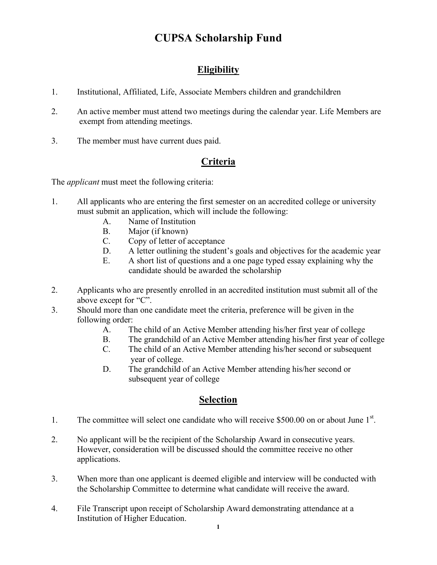### **CUPSA Scholarship Fund**

#### **Eligibility**

- 1. Institutional, Affiliated, Life, Associate Members children and grandchildren
- 2. An active member must attend two meetings during the calendar year. Life Members are exempt from attending meetings.
- 3. The member must have current dues paid.

#### **Criteria**

The *applicant* must meet the following criteria:

- 1. All applicants who are entering the first semester on an accredited college or university must submit an application, which will include the following:
	- A. Name of Institution
	- B. Major (if known)
	- C. Copy of letter of acceptance
	- D. A letter outlining the student's goals and objectives for the academic year
	- E. A short list of questions and a one page typed essay explaining why the candidate should be awarded the scholarship
- 2. Applicants who are presently enrolled in an accredited institution must submit all of the above except for "C".
- 3. Should more than one candidate meet the criteria, preference will be given in the following order:
	- A. The child of an Active Member attending his/her first year of college
	- B. The grandchild of an Active Member attending his/her first year of college
	- C. The child of an Active Member attending his/her second or subsequent year of college.
	- D. The grandchild of an Active Member attending his/her second or subsequent year of college

#### **Selection**

- 1. The committee will select one candidate who will receive \$500.00 on or about June 1<sup>st</sup>.
- 2. No applicant will be the recipient of the Scholarship Award in consecutive years. However, consideration will be discussed should the committee receive no other applications.
- 3. When more than one applicant is deemed eligible and interview will be conducted with the Scholarship Committee to determine what candidate will receive the award.
- 4. File Transcript upon receipt of Scholarship Award demonstrating attendance at a Institution of Higher Education.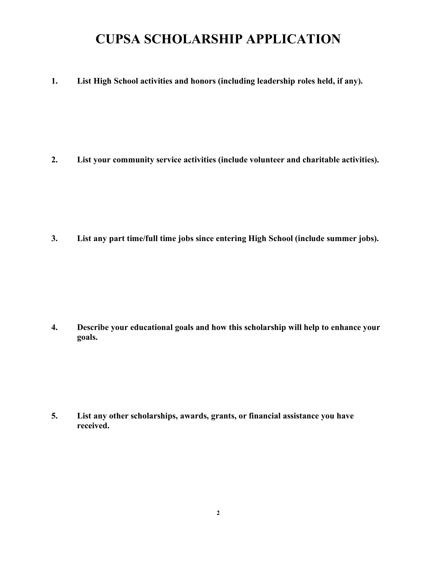## **CUPSA SCHOLARSHIP APPLICATION**

**1. List High School activities and honors (including leadership roles held, if any).**

**2. List your community service activities (include volunteer and charitable activities).**

**3. List any part time/full time jobs since entering High School (include summer jobs).**

**4. Describe your educational goals and how this scholarship will help to enhance your goals.**

**5. List any other scholarships, awards, grants, or financial assistance you have received.**